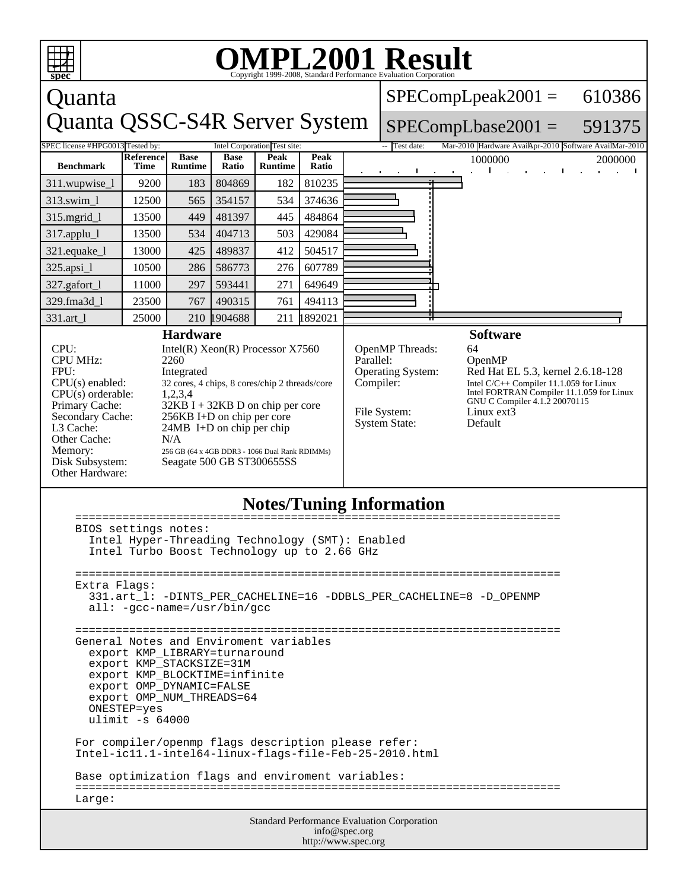

## **Notes/Tuning Information**

| BIOS settings notes: |                                                                                                               |  |  |  |
|----------------------|---------------------------------------------------------------------------------------------------------------|--|--|--|
|                      | Intel Hyper-Threading Technology (SMT): Enabled<br>Intel Turbo Boost Technology up to 2.66 GHz                |  |  |  |
|                      | Extra Flags:                                                                                                  |  |  |  |
|                      | 331.art 1: -DINTS PER CACHELINE=16 -DDBLS PER CACHELINE=8 -D OPENMP<br>$all: -qcc-name = /usr/bin/qcc$        |  |  |  |
|                      |                                                                                                               |  |  |  |
|                      | General Notes and Enviroment variables<br>export KMP LIBRARY=turnaround                                       |  |  |  |
|                      | export KMP_STACKSIZE=31M                                                                                      |  |  |  |
|                      | export KMP BLOCKTIME=infinite<br>export OMP DYNAMIC=FALSE                                                     |  |  |  |
|                      | export OMP_NUM_THREADS=64                                                                                     |  |  |  |
|                      | ONESTEP=yes<br>ulimit $-s$ 64000                                                                              |  |  |  |
|                      |                                                                                                               |  |  |  |
|                      | For compiler/openmp flags description please refer:<br>Intel-ic11.1-intel64-linux-flags-file-Feb-25-2010.html |  |  |  |
|                      | Base optimization flags and enviroment variables:                                                             |  |  |  |
|                      | Large:                                                                                                        |  |  |  |
|                      | <b>Standard Performance Evaluation Corporation</b>                                                            |  |  |  |
|                      | info@spec.org                                                                                                 |  |  |  |

http://www.spec.org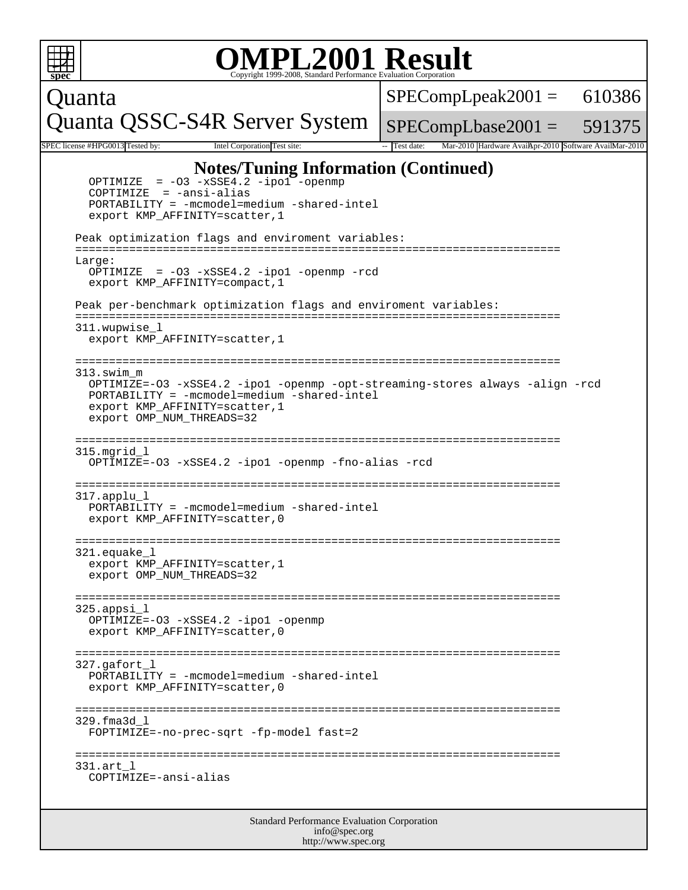|                                                                                                                                                                                                                                                                                                                                                          | <b>OMPL2001 Result</b><br>Copyright 1999-2008, Standard Performance Evaluation Corporation                                                                                                                                                                                                                                                                                                                                                                                                                                                                                                         |                                                                      |  |  |  |
|----------------------------------------------------------------------------------------------------------------------------------------------------------------------------------------------------------------------------------------------------------------------------------------------------------------------------------------------------------|----------------------------------------------------------------------------------------------------------------------------------------------------------------------------------------------------------------------------------------------------------------------------------------------------------------------------------------------------------------------------------------------------------------------------------------------------------------------------------------------------------------------------------------------------------------------------------------------------|----------------------------------------------------------------------|--|--|--|
| Quanta                                                                                                                                                                                                                                                                                                                                                   |                                                                                                                                                                                                                                                                                                                                                                                                                                                                                                                                                                                                    | $SPECompLpeak2001 = 610386$                                          |  |  |  |
|                                                                                                                                                                                                                                                                                                                                                          | Quanta QSSC-S4R Server System                                                                                                                                                                                                                                                                                                                                                                                                                                                                                                                                                                      | $SPECompLbase2001 = 591375$                                          |  |  |  |
|                                                                                                                                                                                                                                                                                                                                                          | SPEC license #HPG0013 Tested by:<br>Intel Corporation Test site:                                                                                                                                                                                                                                                                                                                                                                                                                                                                                                                                   | Mar-2010 Hardware AvailApr-2010 Software AvailMar-2010<br>Test date: |  |  |  |
|                                                                                                                                                                                                                                                                                                                                                          | <b>Notes/Tuning Information (Continued)</b><br>$= -03 - xSSE4.2 - ipo1 - openmp$<br>OPTIMIZE<br>$COPTIMIZE = -ansi-alias$<br>$PORTABILITY = -mcmodel=medium -shared-intel$<br>export KMP_AFFINITY=scatter, 1<br>Peak optimization flags and enviroment variables:<br>Large:<br>OPTIMIZE = $-03 - xSSE4.2 - ipo1 - openmp - red$<br>export KMP_AFFINITY=compact, 1<br>Peak per-benchmark optimization flags and enviroment variables:<br>=========<br>311.wupwise l<br>export KMP_AFFINITY=scatter, 1<br>313.swim m<br>OPTIMIZE=-03 -xSSE4.2 -ipol -openmp -opt-streaming-stores always -align -rcd |                                                                      |  |  |  |
| PORTABILITY = -mcmodel=medium -shared-intel<br>export KMP_AFFINITY=scatter, 1<br>export OMP NUM THREADS=32<br>=======================<br>=================<br>$315.mgrid_1$<br>OPTIMIZE=-03 -xSSE4.2 -ipo1 -openmp -fno-alias -rcd<br>------------------<br>317.applu l<br>PORTABILITY = -mcmodel=medium -shared-intel<br>export KMP_AFFINITY=scatter, 0 |                                                                                                                                                                                                                                                                                                                                                                                                                                                                                                                                                                                                    |                                                                      |  |  |  |
|                                                                                                                                                                                                                                                                                                                                                          | 321.equake 1<br>export KMP_AFFINITY=scatter, 1<br>export OMP_NUM_THREADS=32<br>325.appsi l<br>OPTIMIZE=-03 -xSSE4.2 -ipo1 -openmp<br>export KMP_AFFINITY=scatter, 0                                                                                                                                                                                                                                                                                                                                                                                                                                |                                                                      |  |  |  |
|                                                                                                                                                                                                                                                                                                                                                          | ----------------------------------<br>$327.\sigma$ afort l<br>PORTABILITY = -mcmodel=medium -shared-intel<br>export KMP AFFINITY=scatter, 0<br>329.fma3d l<br>FOPTIMIZE=-no-prec-sqrt -fp-model fast=2                                                                                                                                                                                                                                                                                                                                                                                             |                                                                      |  |  |  |
|                                                                                                                                                                                                                                                                                                                                                          | 331.art l<br>COPTIMIZE=-ansi-alias                                                                                                                                                                                                                                                                                                                                                                                                                                                                                                                                                                 |                                                                      |  |  |  |
|                                                                                                                                                                                                                                                                                                                                                          | Standard Performance Evaluation Corporation                                                                                                                                                                                                                                                                                                                                                                                                                                                                                                                                                        |                                                                      |  |  |  |

info@spec.org http://www.spec.org